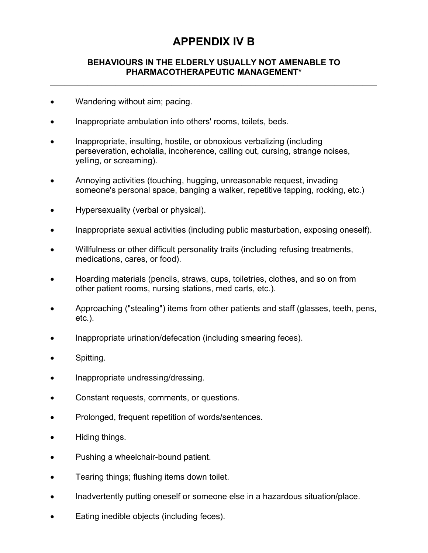## **APPENDIX IV B**

## **BEHAVIOURS IN THE ELDERLY USUALLY NOT AMENABLE TO PHARMACOTHERAPEUTIC MANAGEMENT\***

 $\mathcal{L}_\text{max}$  and  $\mathcal{L}_\text{max}$  and  $\mathcal{L}_\text{max}$  and  $\mathcal{L}_\text{max}$  and  $\mathcal{L}_\text{max}$  and  $\mathcal{L}_\text{max}$ 

- Wandering without aim; pacing.
- Inappropriate ambulation into others' rooms, toilets, beds.
- Inappropriate, insulting, hostile, or obnoxious verbalizing (including perseveration, echolalia, incoherence, calling out, cursing, strange noises, yelling, or screaming).
- Annoying activities (touching, hugging, unreasonable request, invading someone's personal space, banging a walker, repetitive tapping, rocking, etc.)
- Hypersexuality (verbal or physical).
- Inappropriate sexual activities (including public masturbation, exposing oneself).
- Willfulness or other difficult personality traits (including refusing treatments, medications, cares, or food).
- Hoarding materials (pencils, straws, cups, toiletries, clothes, and so on from other patient rooms, nursing stations, med carts, etc.).
- Approaching ("stealing") items from other patients and staff (glasses, teeth, pens, etc.).
- Inappropriate urination/defecation (including smearing feces).
- Spitting.
- Inappropriate undressing/dressing.
- Constant requests, comments, or questions.
- Prolonged, frequent repetition of words/sentences.
- Hiding things.
- Pushing a wheelchair-bound patient.
- Tearing things; flushing items down toilet.
- Inadvertently putting oneself or someone else in a hazardous situation/place.
- Eating inedible objects (including feces).